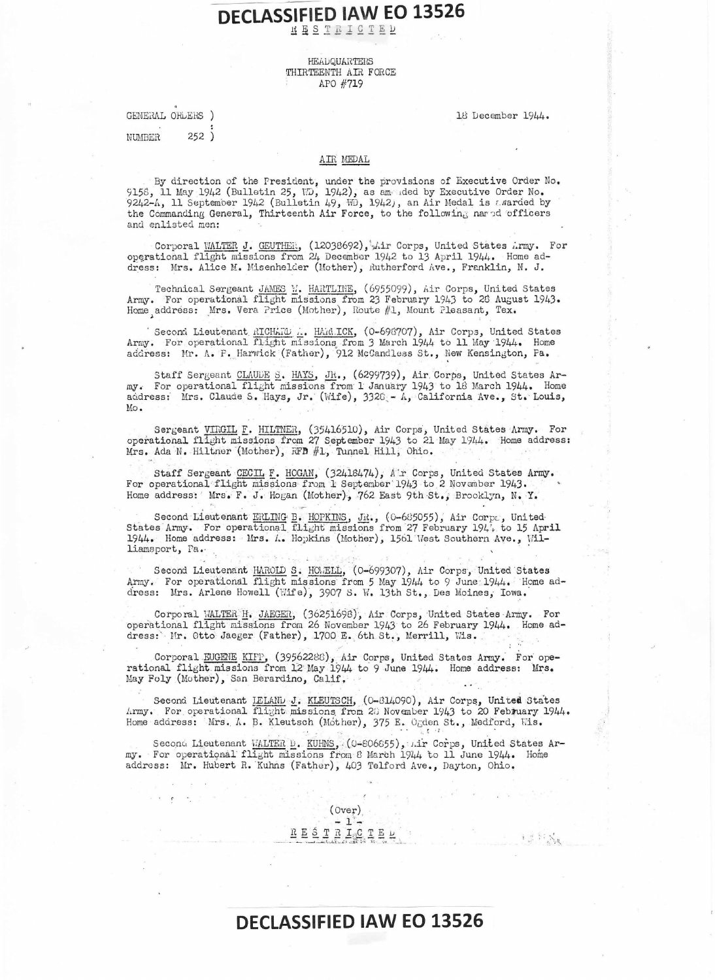## KESTRICTED

## HEADQUARTERS THIRTEENTH AIR FORCE APO #719

GENERAL ORLERS )  $252)$ **NUMBER** 

18 December 1944.

## AIR MEDAL

By direction of the President, under the provisions of Executive Order No. 9158, 11 May 1942 (Bulletin 25, ND, 1942), as amended by Executive Order No. 9242-A, 11 September 1942 (Bulletin 49, WD, 1942), an Air Medal is aw and enlisted men:

Corporal WALTER J. GEUTHER, (12038692), Lir Corps, United States Army. For operational flight missions from 24 December 1942 to 13 April 1944. Home address: Mrs. Alice M. Misenhelder (Mother), Rutherford Ave., Franklin, N. J.

Technical Sergeant JAMES W. HARTLINE, (6955099), Air Corps, United States Army. For operational flight missions from 23 February 1943 to 26 August 1943. Home address: Mrs. Vera Price (Mother), Route #1, Mount Pleasant, Tex.

' Second Lieutenant RICHARD ... HARR ICK, (0-698707), Air Corps, United States Army. For operational flight missions from 3 March 1944 to 11 May 1944. Home address: Mr. A. F. Harwick (Father), 912 McCandless St., New Kensington, Pa.

Staff Sergeant CLAUDE S. HAYS, JR., (6299739), Air Corps, United States Army. For operational flight missions from 1 January 1943 to 18 March 1944. Home address: Mrs. Claude S. Hays, Jr. (Wife), 3320 - A. California Ave., St. Louis,  $Mo.$ 

Sergeant VIRGIL F. HILTNER, (35416510), Air Corps, United States Army. For operational flight missions from 27 September 1943 to 21 May 1944. Home address: Mrs. Ada N. Hiltner (Mother), RFD #1, Tunnel Hill, Ohio.

Staff Sergeant CECIL F. HOGAN, (32418474), Air Corps, United States Army. For operational flight missions from 1 September 1943 to 2 November 1943. Home address: Mrs. F. J. Hogan (Mother), 762 East 9th St., Brooklyn, N. Y.

Second Lieutenant ERLING B. HOPKINS, JR., (0-685055), Air Corps, United States Army. For operational flight missions from 27 February 1944, to 15 April 1944. Home address: Mrs. A. Hopkins (Mother), 1561 West Southern Ave., Williamsport, Pa.

Second Lieutenant HAROLD S. HOMELD, (0-699307), Air Corps, United States Army. For operational flight missions from 5 May 1944 to 9 June 1944. Home address: Mrs. Arlene Howell (Wife), 3907 S. W. 13th St., Des Moines, Iowa.

Corporal WALTER H. JAEGER, (36251698), Air Corps, United States Army. For operational flight missions from 26 November 1943 to 26 February 1944. Home address: Mr. Otto Jaeger (Father), 1700 E. 6th St., Merrill, Wis.

Corporal EUGENE KIFP, (39562288), Air Corps, United States Army. For operational flight missions from 12 May 1944 to 9 June 1944. Home address: Mrs. May Foly (Mother), San Berardino, Calif.

Second Lieutenant IELAND J. KLEUTSCH, (0-814090), Air Corps, United States Army. For operational flight missions from 28 November 1943 to 20 February 1944. Home address: Mrs. A. B. Kleutsch (Mother), 375 E. Ogden St., Medford, Wis.

Second Lieutenant WALTER D. KUHNS, (0-806655), Lir Corps, United States Army. For operational flight missions from 8 March 1944 to 11 June 1944. Home address: Mr. Hubert R. Kuhns (Father), 403 Telford Ave., Dayton, Ohio.